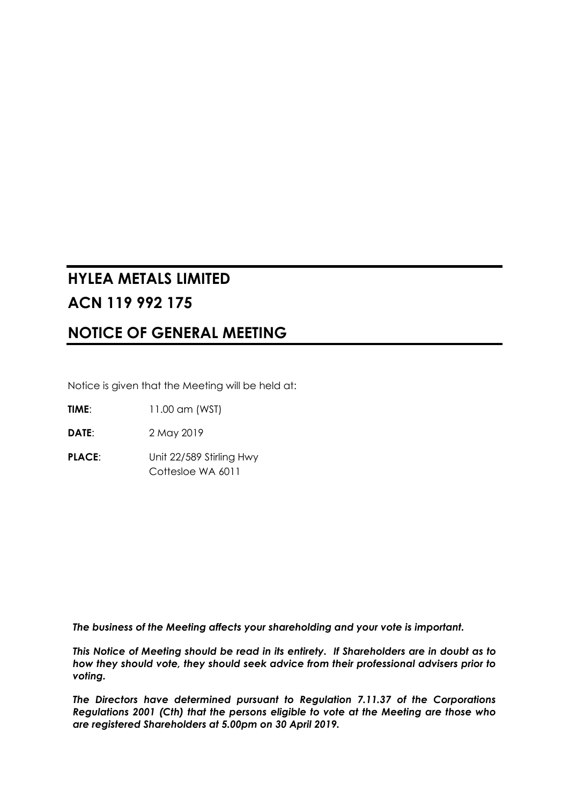# **HYLEA METALS LIMITED ACN 119 992 175**

# **NOTICE OF GENERAL MEETING**

Notice is given that the Meeting will be held at:

**TIME**: 11.00 am (WST)

**DATE**: 2 May 2019

**PLACE:** Unit 22/589 Stirling Hwy Cottesloe WA 6011

*The business of the Meeting affects your shareholding and your vote is important.* 

*This Notice of Meeting should be read in its entirety. If Shareholders are in doubt as to how they should vote, they should seek advice from their professional advisers prior to voting.* 

*The Directors have determined pursuant to Regulation 7.11.37 of the Corporations Regulations 2001 (Cth) that the persons eligible to vote at the Meeting are those who are registered Shareholders at 5.00pm on 30 April 2019.*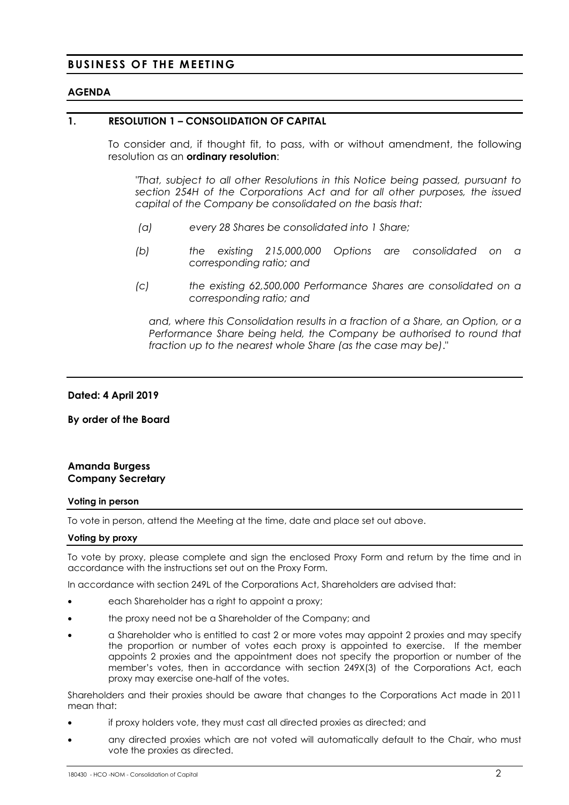### **BUSINESS OF THE MEETING**

#### **AGENDA**

#### **1. RESOLUTION 1 – CONSOLIDATION OF CAPITAL**

To consider and, if thought fit, to pass, with or without amendment, the following resolution as an **ordinary resolution**:

*"That, subject to all other Resolutions in this Notice being passed, pursuant to section 254H of the Corporations Act and for all other purposes, the issued capital of the Company be consolidated on the basis that:* 

- *(a) every 28 Shares be consolidated into 1 Share;*
- *(b) the existing 215,000,000 Options are consolidated on a corresponding ratio; and*
- *(c) the existing 62,500,000 Performance Shares are consolidated on a corresponding ratio; and*

*and, where this Consolidation results in a fraction of a Share, an Option, or a Performance Share being held, the Company be authorised to round that fraction up to the nearest whole Share (as the case may be)*."

#### **Dated: 4 April 2019**

**By order of the Board** 

#### **Amanda Burgess Company Secretary**

#### **Voting in person**

To vote in person, attend the Meeting at the time, date and place set out above.

#### **Voting by proxy**

To vote by proxy, please complete and sign the enclosed Proxy Form and return by the time and in accordance with the instructions set out on the Proxy Form.

In accordance with section 249L of the Corporations Act, Shareholders are advised that:

- each Shareholder has a right to appoint a proxy;
- the proxy need not be a Shareholder of the Company; and
- a Shareholder who is entitled to cast 2 or more votes may appoint 2 proxies and may specify the proportion or number of votes each proxy is appointed to exercise. If the member appoints 2 proxies and the appointment does not specify the proportion or number of the member's votes, then in accordance with section 249X(3) of the Corporations Act, each proxy may exercise one-half of the votes.

Shareholders and their proxies should be aware that changes to the Corporations Act made in 2011 mean that:

- if proxy holders vote, they must cast all directed proxies as directed; and
- any directed proxies which are not voted will automatically default to the Chair, who must vote the proxies as directed.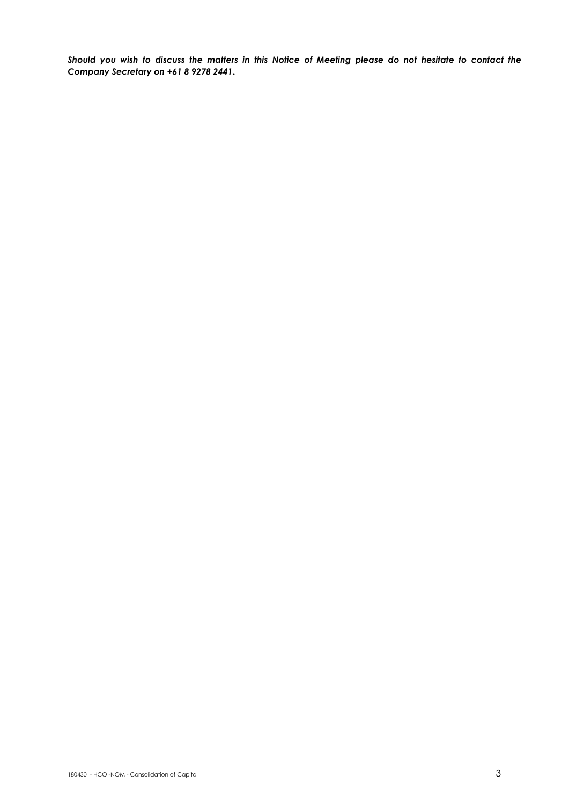*Should you wish to discuss the matters in this Notice of Meeting please do not hesitate to contact the Company Secretary on +61 8 9278 2441***.**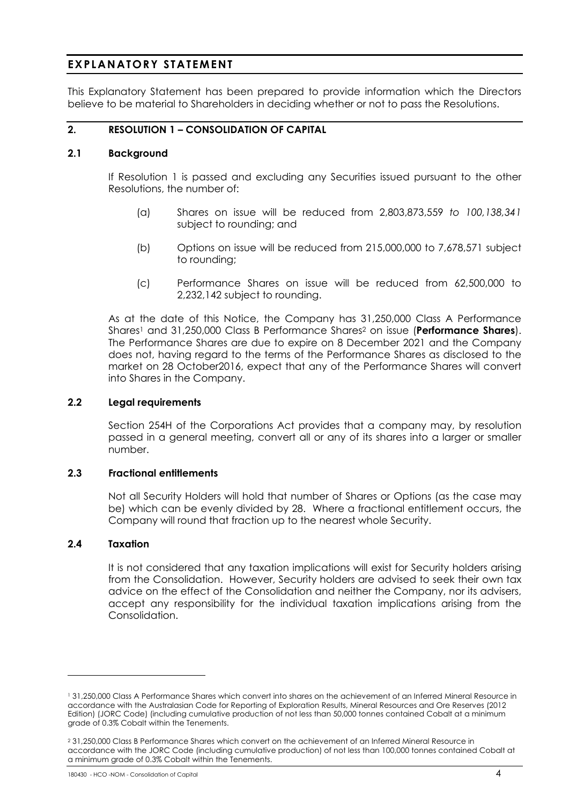## **EXPLANATORY STATEMENT**

This Explanatory Statement has been prepared to provide information which the Directors believe to be material to Shareholders in deciding whether or not to pass the Resolutions.

### **2. RESOLUTION 1 – CONSOLIDATION OF CAPITAL**

#### **2.1 Background**

If Resolution 1 is passed and excluding any Securities issued pursuant to the other Resolutions, the number of:

- (a) Shares on issue will be reduced from 2,803,873,559 *to 100,138,341*  subject to rounding; and
- (b) Options on issue will be reduced from 215,000,000 to 7,678,571 subject to rounding;
- (c) Performance Shares on issue will be reduced from 62,500,000 to 2,232,142 subject to rounding.

As at the date of this Notice, the Company has 31,250,000 Class A Performance Shares1 and 31,250,000 Class B Performance Shares2 on issue (**Performance Shares**). The Performance Shares are due to expire on 8 December 2021 and the Company does not, having regard to the terms of the Performance Shares as disclosed to the market on 28 October2016, expect that any of the Performance Shares will convert into Shares in the Company.

#### **2.2 Legal requirements**

Section 254H of the Corporations Act provides that a company may, by resolution passed in a general meeting, convert all or any of its shares into a larger or smaller number.

#### **2.3 Fractional entitlements**

Not all Security Holders will hold that number of Shares or Options (as the case may be) which can be evenly divided by 28. Where a fractional entitlement occurs, the Company will round that fraction up to the nearest whole Security.

#### **2.4 Taxation**

-

It is not considered that any taxation implications will exist for Security holders arising from the Consolidation. However, Security holders are advised to seek their own tax advice on the effect of the Consolidation and neither the Company, nor its advisers, accept any responsibility for the individual taxation implications arising from the Consolidation.

<sup>1 31,250,000</sup> Class A Performance Shares which convert into shares on the achievement of an Inferred Mineral Resource in accordance with the Australasian Code for Reporting of Exploration Results, Mineral Resources and Ore Reserves (2012 Edition) (JORC Code) (including cumulative production of not less than 50,000 tonnes contained Cobalt at a minimum grade of 0.3% Cobalt within the Tenements.

<sup>2 31,250,000</sup> Class B Performance Shares which convert on the achievement of an Inferred Mineral Resource in accordance with the JORC Code (including cumulative production) of not less than 100,000 tonnes contained Cobalt at a minimum grade of 0.3% Cobalt within the Tenements.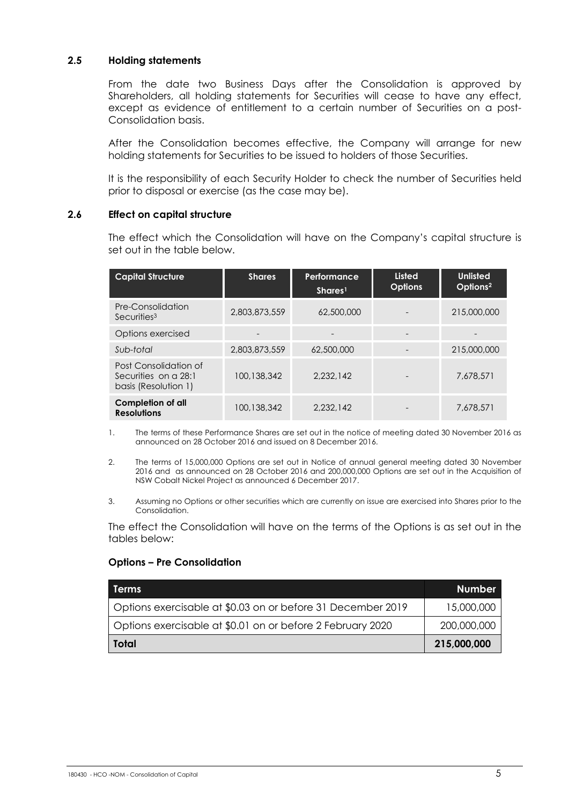#### **2.5 Holding statements**

From the date two Business Days after the Consolidation is approved by Shareholders, all holding statements for Securities will cease to have any effect, except as evidence of entitlement to a certain number of Securities on a post-Consolidation basis.

After the Consolidation becomes effective, the Company will arrange for new holding statements for Securities to be issued to holders of those Securities.

It is the responsibility of each Security Holder to check the number of Securities held prior to disposal or exercise (as the case may be).

#### **2.6 Effect on capital structure**

The effect which the Consolidation will have on the Company's capital structure is set out in the table below.

| <b>Capital Structure</b>                                              | <b>Shares</b> | Performance<br>Shares <sup>1</sup> | <b>Listed</b><br><b>Options</b> | <b>Unlisted</b><br>Options <sup>2</sup> |
|-----------------------------------------------------------------------|---------------|------------------------------------|---------------------------------|-----------------------------------------|
| Pre-Consolidation<br>Securities <sup>3</sup>                          | 2,803,873,559 | 62,500,000                         |                                 | 215,000,000                             |
| Options exercised                                                     |               |                                    |                                 |                                         |
| Sub-total                                                             | 2,803,873,559 | 62,500,000                         |                                 | 215,000,000                             |
| Post Consolidation of<br>Securities on a 28:1<br>basis (Resolution 1) | 100,138,342   | 2.232.142                          |                                 | 7.678.571                               |
| Completion of all<br><b>Resolutions</b>                               | 100,138,342   | 2.232.142                          |                                 | 7.678.571                               |

- 1. The terms of these Performance Shares are set out in the notice of meeting dated 30 November 2016 as announced on 28 October 2016 and issued on 8 December 2016.
- 2. The terms of 15,000,000 Options are set out in Notice of annual general meeting dated 30 November 2016 and as announced on 28 October 2016 and 200,000,000 Options are set out in the Acquisition of NSW Cobalt Nickel Project as announced 6 December 2017.
- 3. Assuming no Options or other securities which are currently on issue are exercised into Shares prior to the Consolidation.

The effect the Consolidation will have on the terms of the Options is as set out in the tables below:

#### **Options – Pre Consolidation**

| l Terms                                                     | <b>Number</b> |
|-------------------------------------------------------------|---------------|
| Options exercisable at \$0.03 on or before 31 December 2019 | 15,000,000    |
| Options exercisable at \$0.01 on or before 2 February 2020  | 200,000,000   |
| Total                                                       | 215,000,000   |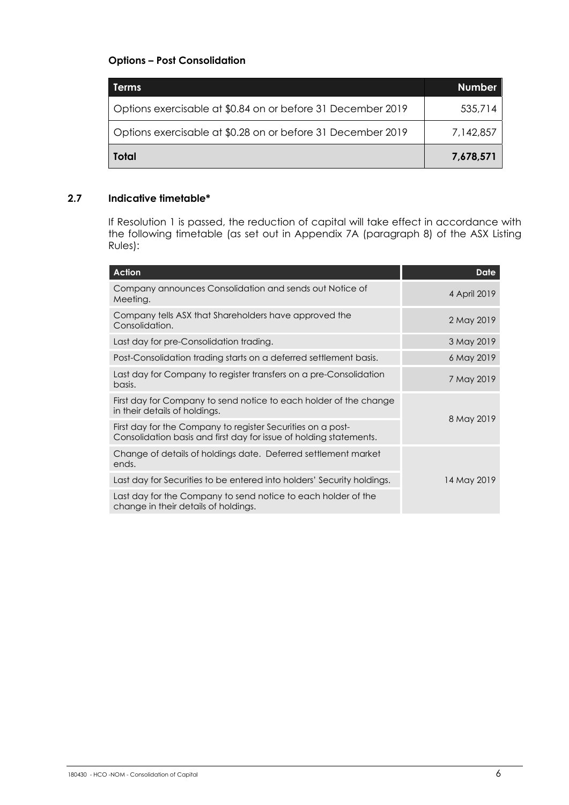### **Options – Post Consolidation**

| <b>Terms</b>                                                | <b>Number</b> |
|-------------------------------------------------------------|---------------|
| Options exercisable at \$0.84 on or before 31 December 2019 | 535,714       |
| Options exercisable at \$0.28 on or before 31 December 2019 | 7,142,857     |
| Total                                                       | 7,678,571     |

### **2.7 Indicative timetable\***

If Resolution 1 is passed, the reduction of capital will take effect in accordance with the following timetable (as set out in Appendix 7A (paragraph 8) of the ASX Listing Rules):

| Action                                                                                                                            | <b>Date</b>  |
|-----------------------------------------------------------------------------------------------------------------------------------|--------------|
| Company announces Consolidation and sends out Notice of<br>Meeting.                                                               | 4 April 2019 |
| Company tells ASX that Shareholders have approved the<br>Consolidation.                                                           | 2 May 2019   |
| Last day for pre-Consolidation trading.                                                                                           | 3 May 2019   |
| Post-Consolidation trading starts on a deferred settlement basis.                                                                 | 6 May 2019   |
| Last day for Company to register transfers on a pre-Consolidation<br>basis.                                                       | 7 May 2019   |
| First day for Company to send notice to each holder of the change<br>in their details of holdings.                                |              |
| First day for the Company to register Securities on a post-<br>Consolidation basis and first day for issue of holding statements. | 8 May 2019   |
| Change of details of holdings date. Deferred settlement market<br>ends.                                                           |              |
| Last day for Securities to be entered into holders' Security holdings.                                                            | 14 May 2019  |
| Last day for the Company to send notice to each holder of the<br>change in their details of holdings.                             |              |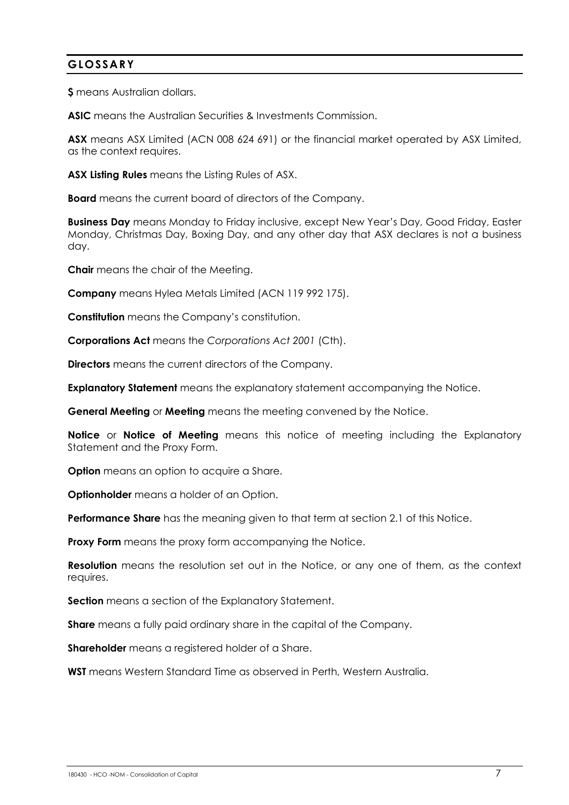# **GLOSSARY**

**\$** means Australian dollars.

**ASIC** means the Australian Securities & Investments Commission.

**ASX** means ASX Limited (ACN 008 624 691) or the financial market operated by ASX Limited, as the context requires.

**ASX Listing Rules** means the Listing Rules of ASX.

**Board** means the current board of directors of the Company.

**Business Day** means Monday to Friday inclusive, except New Year's Day, Good Friday, Easter Monday, Christmas Day, Boxing Day, and any other day that ASX declares is not a business day.

**Chair** means the chair of the Meeting.

**Company** means Hylea Metals Limited (ACN 119 992 175).

**Constitution** means the Company's constitution.

**Corporations Act** means the *Corporations Act 2001* (Cth).

**Directors** means the current directors of the Company.

**Explanatory Statement** means the explanatory statement accompanying the Notice.

**General Meeting** or **Meeting** means the meeting convened by the Notice.

**Notice** or **Notice of Meeting** means this notice of meeting including the Explanatory Statement and the Proxy Form.

**Option** means an option to acquire a Share.

**Optionholder** means a holder of an Option.

**Performance Share** has the meaning given to that term at section 2.1 of this Notice.

**Proxy Form** means the proxy form accompanying the Notice.

**Resolution** means the resolution set out in the Notice, or any one of them, as the context requires.

**Section** means a section of the Explanatory Statement.

**Share** means a fully paid ordinary share in the capital of the Company.

**Shareholder** means a registered holder of a Share.

**WST** means Western Standard Time as observed in Perth, Western Australia.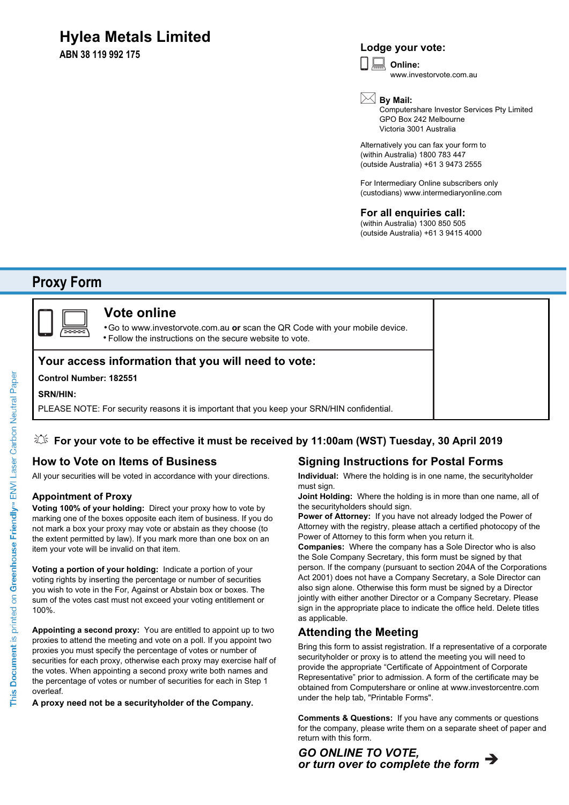# **Hylea Metals Limited**

**ABN 38 119 992 175**

## **Lodge your vote:**

**Online:** www.investorvote.com.au

**By Mail:**

Computershare Investor Services Pty Limited GPO Box 242 Melbourne Victoria 3001 Australia

Alternatively you can fax your form to (within Australia) 1800 783 447 (outside Australia) +61 3 9473 2555

For Intermediary Online subscribers only (custodians) www.intermediaryonline.com

### **For all enquiries call:**

(within Australia) 1300 850 505 (outside Australia) +61 3 9415 4000

# **Proxy Form**



# **Vote online**

Go to www.investorvote.com.au **or** scan the QR Code with your mobile device. Follow the instructions on the secure website to vote. •

### **Your access information that you will need to vote:**

#### **Control Number: 182551**

#### **SRN/HIN:**

PLEASE NOTE: For security reasons it is important that you keep your SRN/HIN confidential.

### **For your vote to be effective it must be received by 11:00am (WST) Tuesday, 30 April 2019**

# **How to Vote on Items of Business**

All your securities will be voted in accordance with your directions.

#### **Appointment of Proxy**

**Voting 100% of your holding:** Direct your proxy how to vote by marking one of the boxes opposite each item of business. If you do not mark a box your proxy may vote or abstain as they choose (to the extent permitted by law). If you mark more than one box on an item your vote will be invalid on that item.

**Voting a portion of your holding:** Indicate a portion of your voting rights by inserting the percentage or number of securities you wish to vote in the For, Against or Abstain box or boxes. The sum of the votes cast must not exceed your voting entitlement or 100%.

**Appointing a second proxy:** You are entitled to appoint up to two proxies to attend the meeting and vote on a poll. If you appoint two proxies you must specify the percentage of votes or number of securities for each proxy, otherwise each proxy may exercise half of the votes. When appointing a second proxy write both names and the percentage of votes or number of securities for each in Step 1 overleaf.

**A proxy need not be a securityholder of the Company.**

# **Signing Instructions for Postal Forms**

**Individual:** Where the holding is in one name, the securityholder must sign.

**Joint Holding:** Where the holding is in more than one name, all of the securityholders should sign.

**Power of Attorney:** If you have not already lodged the Power of Attorney with the registry, please attach a certified photocopy of the Power of Attorney to this form when you return it.

**Companies:** Where the company has a Sole Director who is also the Sole Company Secretary, this form must be signed by that person. If the company (pursuant to section 204A of the Corporations Act 2001) does not have a Company Secretary, a Sole Director can also sign alone. Otherwise this form must be signed by a Director jointly with either another Director or a Company Secretary. Please sign in the appropriate place to indicate the office held. Delete titles as applicable.

### **Attending the Meeting**

Bring this form to assist registration. If a representative of a corporate securityholder or proxy is to attend the meeting you will need to provide the appropriate "Certificate of Appointment of Corporate Representative" prior to admission. A form of the certificate may be obtained from Computershare or online at www.investorcentre.com under the help tab, "Printable Forms".

**Comments & Questions:** If you have any comments or questions for the company, please write them on a separate sheet of paper and return with this form.

*or turn over to complete the form GO ONLINE TO VOTE,*

This Document is printed on Greenhouse Friendly<sup>n</sup> ENVI Laser Carbon Neutral Paper